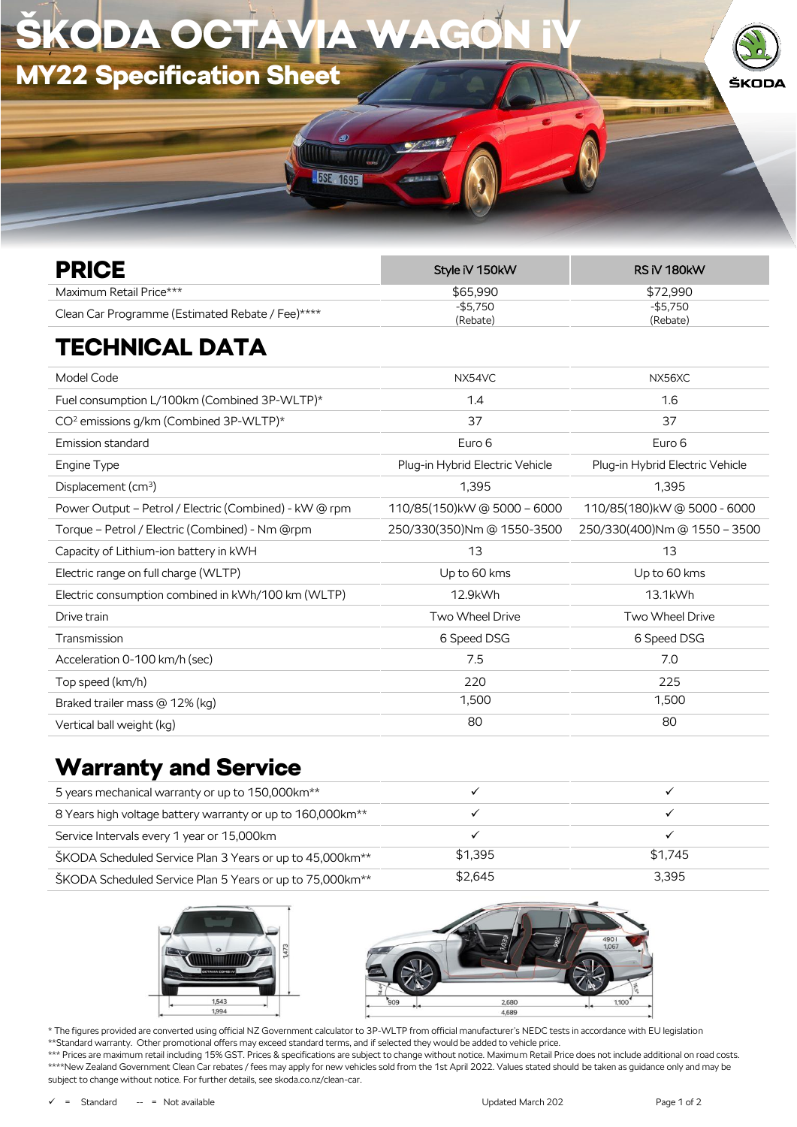

| <b>PRICE</b>                                     | Style iV 150kW          | RS iV 180kW          |
|--------------------------------------------------|-------------------------|----------------------|
| Maximum Retail Price***                          | \$65,990                | \$72.990             |
| Clean Car Programme (Estimated Rebate / Fee)**** | $-$ \$5.750<br>(Rebate) | -\$5.750<br>(Rebate) |

## TECHNICAL DATA

| Model Code                                             | NX54VC                          | NX56XC                          |
|--------------------------------------------------------|---------------------------------|---------------------------------|
| Fuel consumption L/100km (Combined 3P-WLTP)*           | 1.4                             | 1.6                             |
| CO <sup>2</sup> emissions g/km (Combined 3P-WLTP)*     | 37                              | 37                              |
| Emission standard                                      | Euro 6                          | Euro 6                          |
| Engine Type                                            | Plug-in Hybrid Electric Vehicle | Plug-in Hybrid Electric Vehicle |
| Displacement $(cm3)$                                   | 1,395                           | 1,395                           |
| Power Output – Petrol / Electric (Combined) - kW @ rpm | 110/85(150)kW @ 5000 - 6000     | 110/85(180)kW@5000 - 6000       |
| Torque – Petrol / Electric (Combined) - Nm @rpm        | 250/330(350)Nm @ 1550-3500      | 250/330(400)Nm @ 1550 - 3500    |
| Capacity of Lithium-ion battery in kWH                 | 13                              | 13                              |
| Electric range on full charge (WLTP)                   | Up to 60 kms                    | Up to 60 kms                    |
| Electric consumption combined in kWh/100 km (WLTP)     | 12.9kWh                         | 13.1kWh                         |
| Drive train                                            | Two Wheel Drive                 | Two Wheel Drive                 |
| Transmission                                           | 6 Speed DSG                     | 6 Speed DSG                     |
| Acceleration 0-100 km/h (sec)                          | 7.5                             | 7.0                             |
| Top speed (km/h)                                       | 220                             | 225                             |
| Braked trailer mass @ 12% (kg)                         | 1,500                           | 1,500                           |
| Vertical ball weight (kg)                              | 80                              | 80                              |

## Warranty and Service

| 5 years mechanical warranty or up to 150,000km <sup>**</sup>           |         |         |
|------------------------------------------------------------------------|---------|---------|
| 8 Years high voltage battery warranty or up to 160,000km <sup>**</sup> |         |         |
| Service Intervals every 1 year or 15,000km                             |         |         |
| ŠKODA Scheduled Service Plan 3 Years or up to 45,000 km <sup>**</sup>  | \$1.395 | \$1.745 |
| ŠKODA Scheduled Service Plan 5 Years or up to 75,000km <sup>**</sup>   | \$2.645 | 3.395   |





\* The figures provided are converted using official NZ Government calculator to 3P-WLTP from official manufacturer's NEDC tests in accordance with EU legislation \*\*Standard warranty. Other promotional offers may exceed standard terms, and if selected they would be added to vehicle price. \*\*\* Prices are maximum retail including 15% GST. Prices & specifications are subject to change without notice. Maximum Retail Price does not include additional on road costs.

\*\*\*\*New Zealand Government Clean Car rebates / fees may apply for new vehicles sold from the 1st April 2022. Values stated should be taken as guidance only and may be subject to change without notice. For further details, see skoda.co.nz/clean-car.